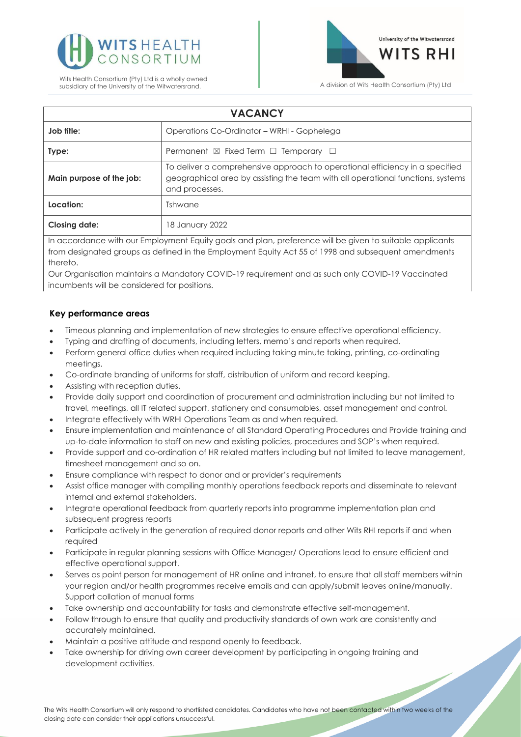



| <b>VACANCY</b>           |                                                                                                                                                                                   |
|--------------------------|-----------------------------------------------------------------------------------------------------------------------------------------------------------------------------------|
| Job title:               | Operations Co-Ordinator – WRHI - Gophelega                                                                                                                                        |
| Type:                    | Permanent $\boxtimes$ Fixed Term $\Box$ Temporary $\Box$                                                                                                                          |
| Main purpose of the job: | To deliver a comprehensive approach to operational efficiency in a specified<br>geographical area by assisting the team with all operational functions, systems<br>and processes. |
| Location:                | Tshwane                                                                                                                                                                           |
| <b>Closing date:</b>     | 18 January 2022                                                                                                                                                                   |

In accordance with our Employment Equity goals and plan, preference will be given to suitable applicants from designated groups as defined in the Employment Equity Act 55 of 1998 and subsequent amendments thereto.

Our Organisation maintains a Mandatory COVID-19 requirement and as such only COVID-19 Vaccinated incumbents will be considered for positions.

# **Key performance areas**

- Timeous planning and implementation of new strategies to ensure effective operational efficiency.
- Typing and drafting of documents, including letters, memo's and reports when required.
- Perform general office duties when required including taking minute taking, printing, co-ordinating meetings.
- Co-ordinate branding of uniforms for staff, distribution of uniform and record keeping.
- Assisting with reception duties.
- Provide daily support and coordination of procurement and administration including but not limited to travel, meetings, all IT related support, stationery and consumables, asset management and control.
- Integrate effectively with WRHI Operations Team as and when required.
- Ensure implementation and maintenance of all Standard Operating Procedures and Provide training and up-to-date information to staff on new and existing policies, procedures and SOP's when required.
- Provide support and co-ordination of HR related matters including but not limited to leave management, timesheet management and so on.
- Ensure compliance with respect to donor and or provider's requirements
- Assist office manager with compiling monthly operations feedback reports and disseminate to relevant internal and external stakeholders.
- Integrate operational feedback from quarterly reports into programme implementation plan and subsequent progress reports
- Participate actively in the generation of required donor reports and other Wits RHI reports if and when required
- Participate in regular planning sessions with Office Manager/ Operations lead to ensure efficient and effective operational support.
- Serves as point person for management of HR online and intranet, to ensure that all staff members within your region and/or health programmes receive emails and can apply/submit leaves online/manually. Support collation of manual forms
- Take ownership and accountability for tasks and demonstrate effective self-management.
- Follow through to ensure that quality and productivity standards of own work are consistently and accurately maintained.
- Maintain a positive attitude and respond openly to feedback.
- Take ownership for driving own career development by participating in ongoing training and development activities.